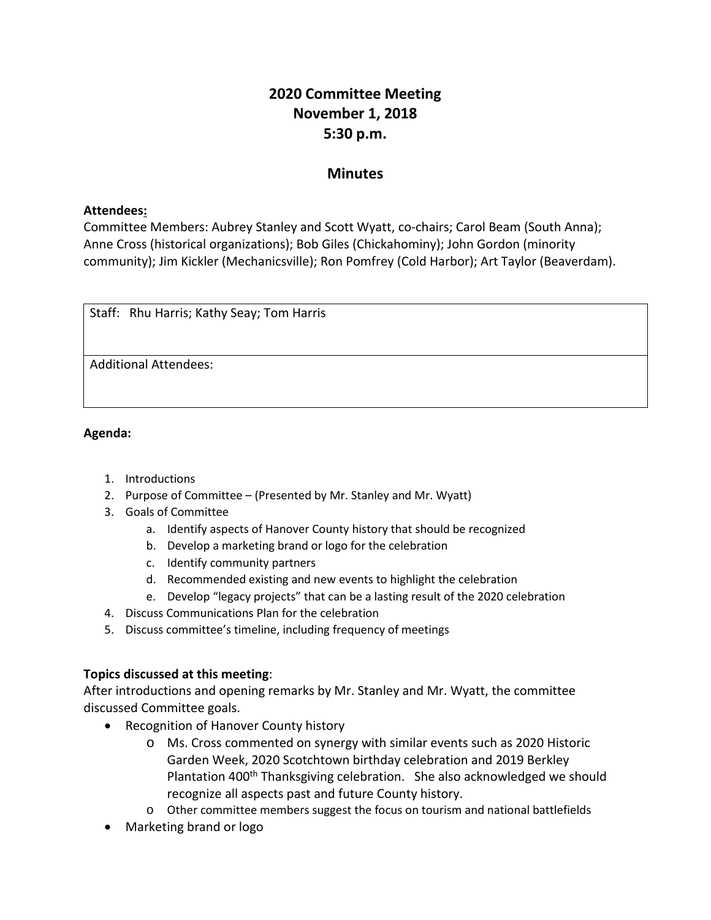# **2020 Committee Meeting November 1, 2018 5:30 p.m.**

## **Minutes**

## **Attendees:**

Committee Members: Aubrey Stanley and Scott Wyatt, co-chairs; Carol Beam (South Anna); Anne Cross (historical organizations); Bob Giles (Chickahominy); John Gordon (minority community); Jim Kickler (Mechanicsville); Ron Pomfrey (Cold Harbor); Art Taylor (Beaverdam).

| Staff: Rhu Harris; Kathy Seay; Tom Harris |  |
|-------------------------------------------|--|
|                                           |  |
| <b>Additional Attendees:</b>              |  |
|                                           |  |

## **Agenda:**

- 1. Introductions
- 2. Purpose of Committee (Presented by Mr. Stanley and Mr. Wyatt)
- 3. Goals of Committee
	- a. Identify aspects of Hanover County history that should be recognized
	- b. Develop a marketing brand or logo for the celebration
	- c. Identify community partners
	- d. Recommended existing and new events to highlight the celebration
	- e. Develop "legacy projects" that can be a lasting result of the 2020 celebration
- 4. Discuss Communications Plan for the celebration
- 5. Discuss committee's timeline, including frequency of meetings

## **Topics discussed at this meeting**:

After introductions and opening remarks by Mr. Stanley and Mr. Wyatt, the committee discussed Committee goals.

- Recognition of Hanover County history
	- o Ms. Cross commented on synergy with similar events such as 2020 Historic Garden Week, 2020 Scotchtown birthday celebration and 2019 Berkley Plantation 400<sup>th</sup> Thanksgiving celebration. She also acknowledged we should recognize all aspects past and future County history.
	- o Other committee members suggest the focus on tourism and national battlefields
- Marketing brand or logo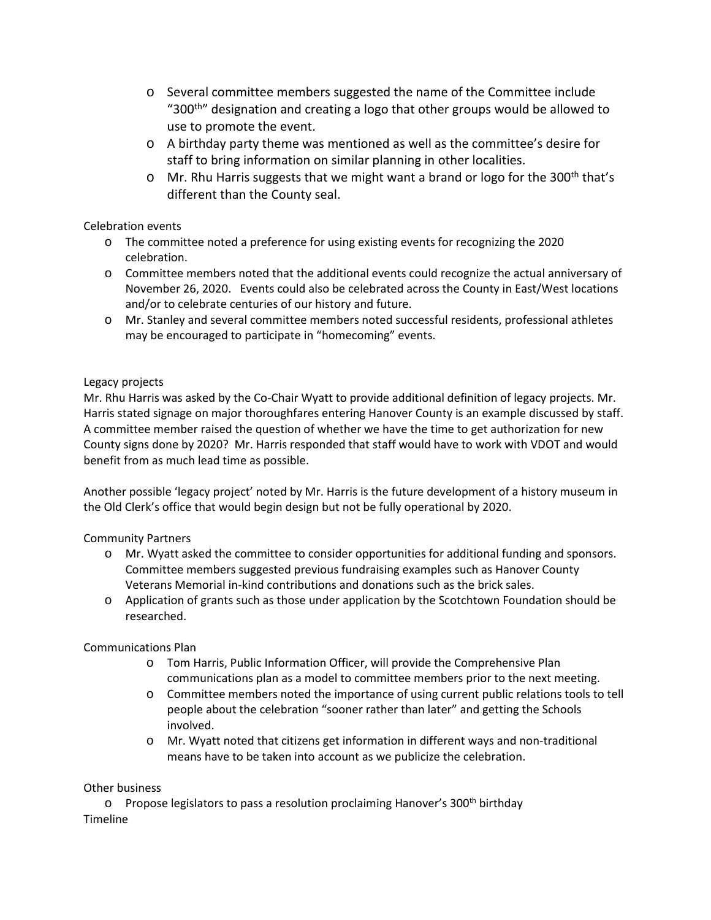- o Several committee members suggested the name of the Committee include "300<sup>th</sup>" designation and creating a logo that other groups would be allowed to use to promote the event.
- o A birthday party theme was mentioned as well as the committee's desire for staff to bring information on similar planning in other localities.
- $\circ$  Mr. Rhu Harris suggests that we might want a brand or logo for the 300<sup>th</sup> that's different than the County seal.

## Celebration events

- o The committee noted a preference for using existing events for recognizing the 2020 celebration.
- o Committee members noted that the additional events could recognize the actual anniversary of November 26, 2020. Events could also be celebrated across the County in East/West locations and/or to celebrate centuries of our history and future.
- o Mr. Stanley and several committee members noted successful residents, professional athletes may be encouraged to participate in "homecoming" events.

## Legacy projects

Mr. Rhu Harris was asked by the Co-Chair Wyatt to provide additional definition of legacy projects. Mr. Harris stated signage on major thoroughfares entering Hanover County is an example discussed by staff. A committee member raised the question of whether we have the time to get authorization for new County signs done by 2020? Mr. Harris responded that staff would have to work with VDOT and would benefit from as much lead time as possible.

Another possible 'legacy project' noted by Mr. Harris is the future development of a history museum in the Old Clerk's office that would begin design but not be fully operational by 2020.

#### Community Partners

- o Mr. Wyatt asked the committee to consider opportunities for additional funding and sponsors. Committee members suggested previous fundraising examples such as Hanover County Veterans Memorial in-kind contributions and donations such as the brick sales.
- o Application of grants such as those under application by the Scotchtown Foundation should be researched.

#### Communications Plan

- o Tom Harris, Public Information Officer, will provide the Comprehensive Plan communications plan as a model to committee members prior to the next meeting.
- o Committee members noted the importance of using current public relations tools to tell people about the celebration "sooner rather than later" and getting the Schools involved.
- o Mr. Wyatt noted that citizens get information in different ways and non-traditional means have to be taken into account as we publicize the celebration.

#### Other business

o Propose legislators to pass a resolution proclaiming Hanover's 300<sup>th</sup> birthday Timeline